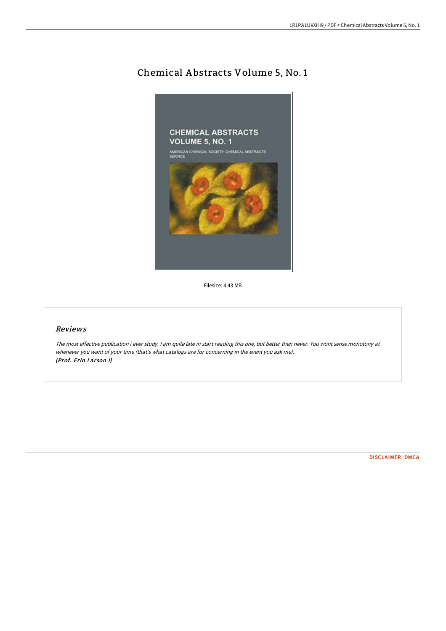# Chemical A bstracts Volume 5, No. 1



Filesize: 4.43 MB

# Reviews

The most effective publication i ever study. <sup>I</sup> am quite late in start reading this one, but better then never. You wont sense monotony at whenever you want of your time (that's what catalogs are for concerning in the event you ask me). (Prof. Erin Larson I)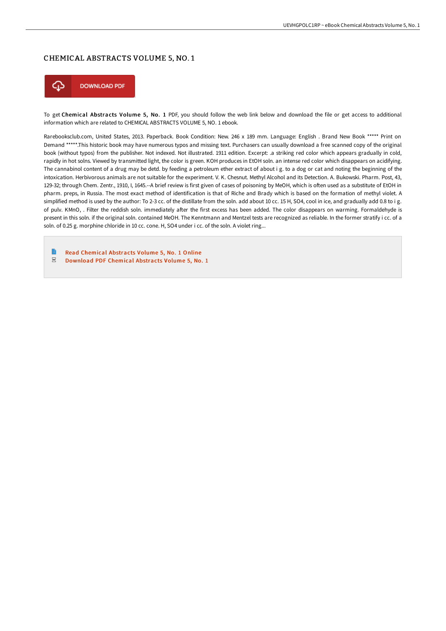#### CHEMICAL ABSTRACTS VOLUME 5, NO. 1



To get Chemical Abstracts Volume 5, No. 1 PDF, you should follow the web link below and download the file or get access to additional information which are related to CHEMICAL ABSTRACTS VOLUME 5, NO. 1 ebook.

Rarebooksclub.com, United States, 2013. Paperback. Book Condition: New. 246 x 189 mm. Language: English . Brand New Book \*\*\*\*\* Print on Demand \*\*\*\*\*.This historic book may have numerous typos and missing text. Purchasers can usually download a free scanned copy of the original book (without typos) from the publisher. Not indexed. Not illustrated. 1911 edition. Excerpt: .a striking red color which appears gradually in cold, rapidly in hot solns. Viewed by transmitted light, the color is green. KOH produces in EtOH soln. an intense red color which disappears on acidifying. The cannabinol content of a drug may be detd. by feeding a petroleum ether extract of about i g. to a dog or cat and noting the beginning of the intoxication. Herbivorous animals are not suitable for the experiment. V. K. Chesnut. Methyl Alcohol and its Detection. A. Bukowski. Pharm. Post, 43, 129-32; through Chem. Zentr., 1910, I, 1645.--A brief review is first given of cases of poisoning by MeOH, which is often used as a substitute of EtOH in pharm. preps, in Russia. The most exact method of identification is that of Riche and Brady which is based on the formation of methyl violet. A simplified method is used by the author: To 2-3 cc. of the distillate from the soln. add about 10 cc. 15 H, SO4, cool in ice, and gradually add 0.8 to i g. of pulv. KMnO, . Filter the reddish soln. immediately after the first excess has been added. The color disappears on warming. Formaldehyde is present in this soln. if the original soln. contained MeOH. The Kenntmann and Mentzel tests are recognized as reliable. In the former stratify i cc. of a soln. of 0.25 g. morphine chloride in 10 cc. cone. H, SO4 under i cc. of the soln. A violet ring...

B Read Chemical [Abstracts](http://techno-pub.tech/chemical-abstracts-volume-5-no-1-paperback.html) Volume 5, No. 1 Online  $PDF$ [Download](http://techno-pub.tech/chemical-abstracts-volume-5-no-1-paperback.html) PDF Chemical Abstracts Volume 5, No. 1